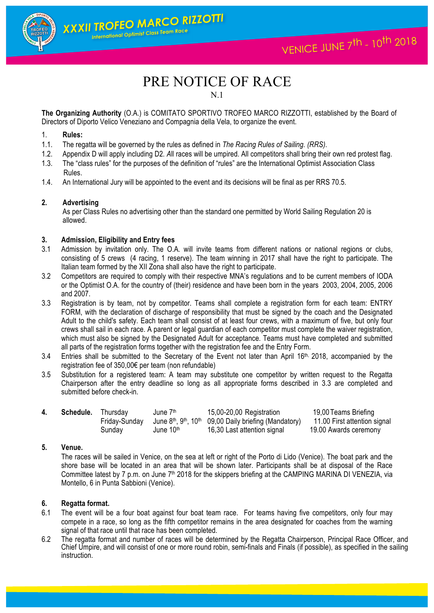1

# PRE NOTICE OF RACE

N.1

**The Organizing Authority** (O.A.) is COMITATO SPORTIVO TROFEO MARCO RIZZOTTI, established by the Board of Directors of Diporto Velico Veneziano and Compagnia della Vela, to organize the event.

# 1. **Rules:**

1.1. The regatta will be governed by the rules as defined in *The Racing Rules of Sailing. (RRS)*.

XXXII TROFEO MARCO RIZZOTTI International Optimist Class Team Race

- 1.2. Appendix D will apply including D2*. A*ll races will be umpired. All competitors shall bring their own red protest flag.
- 1.3. The "class rules" for the purposes of the definition of "rules" are the International Optimist Association Class Rules.
- 1.4. An International Jury will be appointed to the event and its decisions will be final as per RRS 70.5.

#### **2. Advertising**

As per Class Rules no advertising other than the standard one permitted by World Sailing Regulation 20 is allowed.

#### **3. Admission, Eligibility and Entry fees**

- 3.1 Admission by invitation only. The O.A. will invite teams from different nations or national regions or clubs, consisting of 5 crews (4 racing, 1 reserve). The team winning in 2017 shall have the right to participate. The Italian team formed by the XII Zona shall also have the right to participate.
- 3.2 Competitors are required to comply with their respective MNA's regulations and to be current members of IODA or the Optimist O.A. for the country of (their) residence and have been born in the years 2003, 2004, 2005, 2006 and 2007.
- 3.3 Registration is by team, not by competitor. Teams shall complete a registration form for each team: ENTRY FORM, with the declaration of discharge of responsibility that must be signed by the coach and the Designated Adult to the child's safety. Each team shall consist of at least four crews, with a maximum of five, but only four crews shall sail in each race. A parent or legal guardian of each competitor must complete the waiver registration, which must also be signed by the Designated Adult for acceptance. Teams must have completed and submitted all parts of the registration forms together with the registration fee and the Entry Form.
- 3.4 Entries shall be submitted to the Secretary of the Event not later than April 16<sup>th,</sup> 2018, accompanied by the registration fee of 350,00€ per team (non refundable)
- 3.5 Substitution for a registered team: A team may substitute one competitor by written request to the Regatta Chairperson after the entry deadline so long as all appropriate forms described in 3.3 are completed and submitted before check-in.

| Schedule. | Thursdav      | June 7 <sup>th</sup>  | 15,00-20,00 Registration                                               | 19,00 Teams Briefing         |
|-----------|---------------|-----------------------|------------------------------------------------------------------------|------------------------------|
|           | Fridav-Sundav |                       | June $8th$ , $9th$ , 10 <sup>th</sup> 09,00 Daily briefing (Mandatory) | 11.00 First attention signal |
|           | Sundav        | June 10 <sup>th</sup> | 16,30 Last attention signal                                            | 19.00 Awards ceremony        |

#### **5. Venue.**

The races will be sailed in Venice, on the sea at left or right of the Porto di Lido (Venice). The boat park and the shore base will be located in an area that will be shown later. Participants shall be at disposal of the Race Committee latest by 7 p.m. on June  $7<sup>th</sup>$  2018 for the skippers briefing at the CAMPING MARINA DI VENEZIA, via Montello, 6 in Punta Sabbioni (Venice).

#### **6. Regatta format.**

- 6.1 The event will be a four boat against four boat team race. For teams having five competitors, only four may compete in a race, so long as the fifth competitor remains in the area designated for coaches from the warning signal of that race until that race has been completed.
- 6.2 The regatta format and number of races will be determined by the Regatta Chairperson, Principal Race Officer, and Chief Umpire, and will consist of one or more round robin, semi-finals and Finals (if possible), as specified in the sailing instruction.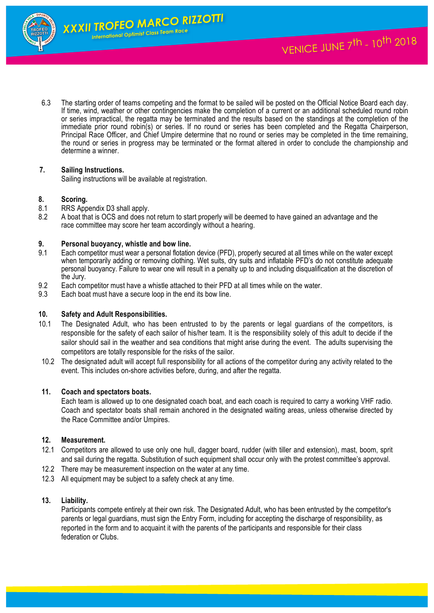

2

6.3 The starting order of teams competing and the format to be sailed will be posted on the Official Notice Board each day. If time, wind, weather or other contingencies make the completion of a current or an additional scheduled round robin or series impractical, the regatta may be terminated and the results based on the standings at the completion of the immediate prior round robin(s) or series. If no round or series has been completed and the Regatta Chairperson, Principal Race Officer, and Chief Umpire determine that no round or series may be completed in the time remaining, the round or series in progress may be terminated or the format altered in order to conclude the championship and determine a winner.

# **7. Sailing Instructions.**

Sailing instructions will be available at registration.

# **8. Scoring.**

- 8.1 RRS Appendix D3 shall apply.
- 8.2 A boat that is OCS and does not return to start properly will be deemed to have gained an advantage and the race committee may score her team accordingly without a hearing.

# **9. Personal buoyancy, whistle and bow line.**

- Each competitor must wear a personal flotation device (PFD), properly secured at all times while on the water except when temporarily adding or removing clothing. Wet suits, dry suits and inflatable PFD's do not constitute adequate personal buoyancy. Failure to wear one will result in a penalty up to and including disqualification at the discretion of the Jury.
- 9.2 Each competitor must have a whistle attached to their PFD at all times while on the water.
- 9.3 Each boat must have a secure loop in the end its bow line.

#### **10. Safety and Adult Responsibilities.**

- 10.1 The Designated Adult, who has been entrusted to by the parents or legal guardians of the competitors, is responsible for the safety of each sailor of his/her team. It is the responsibility solely of this adult to decide if the sailor should sail in the weather and sea conditions that might arise during the event. The adults supervising the competitors are totally responsible for the risks of the sailor.
- 10.2 The designated adult will accept full responsibility for all actions of the competitor during any activity related to the event. This includes on-shore activities before, during, and after the regatta.

#### **11. Coach and spectators boats.**

Each team is allowed up to one designated coach boat, and each coach is required to carry a working VHF radio. Coach and spectator boats shall remain anchored in the designated waiting areas, unless otherwise directed by the Race Committee and/or Umpires.

#### **12. Measurement.**

- 12.1 Competitors are allowed to use only one hull, dagger board, rudder (with tiller and extension), mast, boom, sprit and sail during the regatta. Substitution of such equipment shall occur only with the protest committee's approval.
- 12.2 There may be measurement inspection on the water at any time.
- 12.3 All equipment may be subject to a safety check at any time.

#### **13. Liability.**

Participants compete entirely at their own risk. The Designated Adult, who has been entrusted by the competitor's parents or legal guardians, must sign the Entry Form, including for accepting the discharge of responsibility, as reported in the form and to acquaint it with the parents of the participants and responsible for their class federation or Clubs.